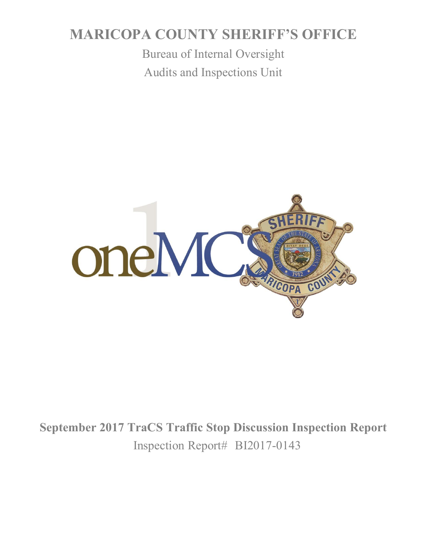# **MARICOPA COUNTY SHERIFF'S OFFICE**

Bureau of Internal Oversight Audits and Inspections Unit



**September 2017 TraCS Traffic Stop Discussion Inspection Report** Inspection Report# BI2017-0143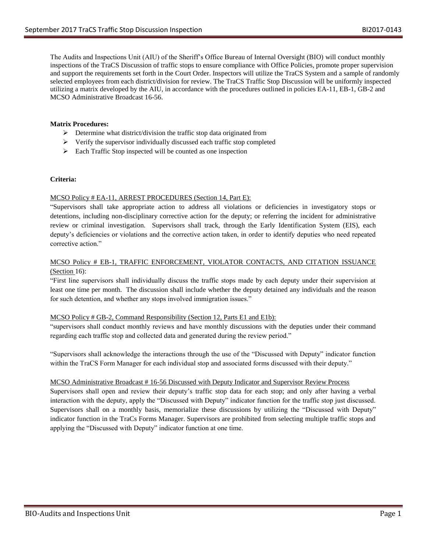The Audits and Inspections Unit (AIU) of the Sheriff's Office Bureau of Internal Oversight (BIO) will conduct monthly inspections of the TraCS Discussion of traffic stops to ensure compliance with Office Policies, promote proper supervision and support the requirements set forth in the Court Order. Inspectors will utilize the TraCS System and a sample of randomly selected employees from each district/division for review. The TraCS Traffic Stop Discussion will be uniformly inspected utilizing a matrix developed by the AIU, in accordance with the procedures outlined in policies EA-11, EB-1, GB-2 and MCSO Administrative Broadcast 16-56.

# **Matrix Procedures:**

- $\triangleright$  Determine what district/division the traffic stop data originated from
- $\triangleright$  Verify the supervisor individually discussed each traffic stop completed
- $\triangleright$  Each Traffic Stop inspected will be counted as one inspection

## **Criteria:**

## MCSO Policy # EA-11, ARREST PROCEDURES (Section 14, Part E):

"Supervisors shall take appropriate action to address all violations or deficiencies in investigatory stops or detentions, including non-disciplinary corrective action for the deputy; or referring the incident for administrative review or criminal investigation. Supervisors shall track, through the Early Identification System (EIS), each deputy's deficiencies or violations and the corrective action taken, in order to identify deputies who need repeated corrective action."

## MCSO Policy # EB-1, TRAFFIC ENFORCEMENT, VIOLATOR CONTACTS, AND CITATION ISSUANCE (Section 16):

"First line supervisors shall individually discuss the traffic stops made by each deputy under their supervision at least one time per month. The discussion shall include whether the deputy detained any individuals and the reason for such detention, and whether any stops involved immigration issues."

## MCSO Policy # GB-2, Command Responsibility (Section 12, Parts E1 and E1b):

"supervisors shall conduct monthly reviews and have monthly discussions with the deputies under their command regarding each traffic stop and collected data and generated during the review period."

"Supervisors shall acknowledge the interactions through the use of the "Discussed with Deputy" indicator function within the TraCS Form Manager for each individual stop and associated forms discussed with their deputy."

## MCSO Administrative Broadcast # 16-56 Discussed with Deputy Indicator and Supervisor Review Process

Supervisors shall open and review their deputy's traffic stop data for each stop; and only after having a verbal interaction with the deputy, apply the "Discussed with Deputy" indicator function for the traffic stop just discussed. Supervisors shall on a monthly basis, memorialize these discussions by utilizing the "Discussed with Deputy" indicator function in the TraCs Forms Manager. Supervisors are prohibited from selecting multiple traffic stops and applying the "Discussed with Deputy" indicator function at one time.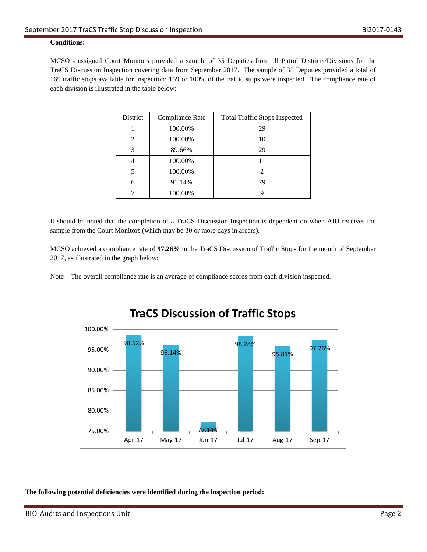# **Conditions:**

MCSO's assigned Court Monitors provided a sample of 35 Deputies from all Patrol Districts/Divisions for the TraCS Discussion Inspection covering data from September 2017. The sample of 35 Deputies provided a total of 169 traffic stops available for inspection; 169 or 100% of the traffic stops were inspected. The compliance rate of each division is illustrated in the table below:

| District                 | Compliance Rate | <b>Total Traffic Stops Inspected</b> |
|--------------------------|-----------------|--------------------------------------|
|                          | 100.00%         | 29                                   |
| 2                        | 100.00%         | 10                                   |
| 3                        | 89.66%          | 29                                   |
|                          | 100.00%         | 11                                   |
| $\overline{\phantom{0}}$ | 100.00%         | $\mathfrak{D}$                       |
| 6                        | 91.14%          | 79                                   |
|                          | 100.00%         |                                      |

It should be noted that the completion of a TraCS Discussion Inspection is dependent on when AIU receives the sample from the Court Monitors (which may be 30 or more days in arears).

MCSO achieved a compliance rate of **97.26%** in the TraCS Discussion of Traffic Stops for the month of September 2017, as illustrated in the graph below:

Note – The overall compliance rate is an average of compliance scores from each division inspected.



**The following potential deficiencies were identified during the inspection period:**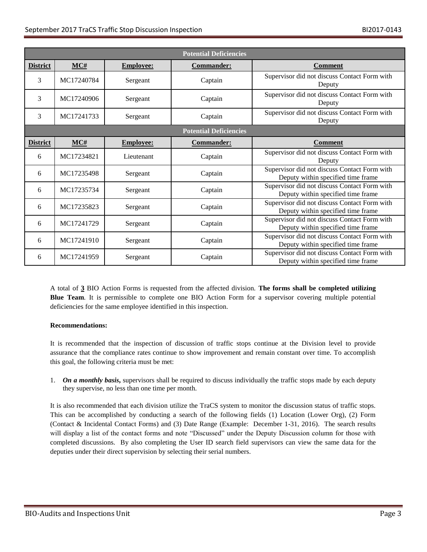| <b>Potential Deficiencies</b> |            |                  |                   |                                                                                    |
|-------------------------------|------------|------------------|-------------------|------------------------------------------------------------------------------------|
| <b>District</b>               | MC#        | <b>Employee:</b> | <b>Commander:</b> | <b>Comment</b>                                                                     |
| 3                             | MC17240784 | Sergeant         | Captain           | Supervisor did not discuss Contact Form with<br>Deputy                             |
| 3                             | MC17240906 | Sergeant         | Captain           | Supervisor did not discuss Contact Form with<br>Deputy                             |
| 3                             | MC17241733 | Sergeant         | Captain           | Supervisor did not discuss Contact Form with<br>Deputy                             |
| <b>Potential Deficiencies</b> |            |                  |                   |                                                                                    |
| <b>District</b>               | MC#        | <b>Employee:</b> | <b>Commander:</b> | <b>Comment</b>                                                                     |
| 6                             | MC17234821 | Lieutenant       | Captain           | Supervisor did not discuss Contact Form with<br>Deputy                             |
| 6                             | MC17235498 | Sergeant         | Captain           | Supervisor did not discuss Contact Form with<br>Deputy within specified time frame |
| 6                             | MC17235734 | Sergeant         | Captain           | Supervisor did not discuss Contact Form with<br>Deputy within specified time frame |
| 6                             | MC17235823 | Sergeant         | Captain           | Supervisor did not discuss Contact Form with<br>Deputy within specified time frame |
| 6                             | MC17241729 | Sergeant         | Captain           | Supervisor did not discuss Contact Form with<br>Deputy within specified time frame |
| 6                             | MC17241910 | Sergeant         | Captain           | Supervisor did not discuss Contact Form with<br>Deputy within specified time frame |
| 6                             | MC17241959 | Sergeant         | Captain           | Supervisor did not discuss Contact Form with<br>Deputy within specified time frame |

A total of **3** BIO Action Forms is requested from the affected division. **The forms shall be completed utilizing Blue Team**. It is permissible to complete one BIO Action Form for a supervisor covering multiple potential deficiencies for the same employee identified in this inspection.

## **Recommendations:**

It is recommended that the inspection of discussion of traffic stops continue at the Division level to provide assurance that the compliance rates continue to show improvement and remain constant over time. To accomplish this goal, the following criteria must be met:

1. On a monthly basis, supervisors shall be required to discuss individually the traffic stops made by each deputy they supervise, no less than one time per month.

It is also recommended that each division utilize the TraCS system to monitor the discussion status of traffic stops. This can be accomplished by conducting a search of the following fields (1) Location (Lower Org), (2) Form (Contact & Incidental Contact Forms) and (3) Date Range (Example: December 1-31, 2016). The search results will display a list of the contact forms and note "Discussed" under the Deputy Discussion column for those with completed discussions. By also completing the User ID search field supervisors can view the same data for the deputies under their direct supervision by selecting their serial numbers.